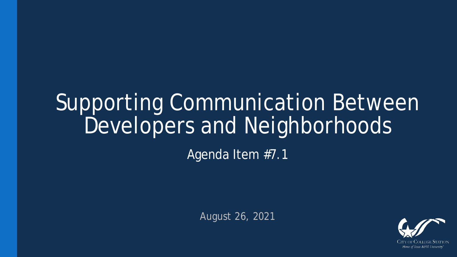# Supporting Communication Between Developers and Neighborhoods

Agenda Item #7.1

August 26, 2021

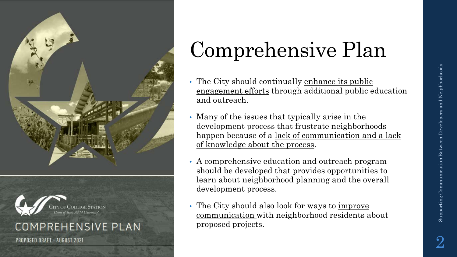



#### **COMPREHENSIVE PLAN**

**PROPOSED DRAFT - AUGUST 2021** 

## Comprehensive Plan

- The City should continually enhance its public engagement efforts through additional public education and outreach.
- Many of the issues that typically arise in the development process that frustrate neighborhoods happen because of a lack of communication and a lack of knowledge about the process.
- A comprehensive education and outreach program should be developed that provides opportunities to learn about neighborhood planning and the overall development process.
- The City should also look for ways to improve communication with neighborhood residents about proposed projects.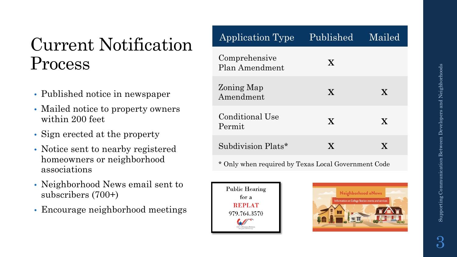### Current Notification Process

- Published notice in newspaper
- Mailed notice to property owners within 200 feet
- Sign erected at the property
- Notice sent to nearby registered homeowners or neighborhood associations
- Neighborhood News email sent to subscribers (700+)
- Encourage neighborhood meetings

| Application Type                | Published    | Mailed |
|---------------------------------|--------------|--------|
| Comprehensive<br>Plan Amendment | $\mathbf{X}$ |        |
| Zoning Map<br>Amendment         | X            | X      |
| Conditional Use<br>Permit       | X            | X      |
| Subdivision Plats*              | X            | X.     |

\* Only when required by Texas Local Government Code



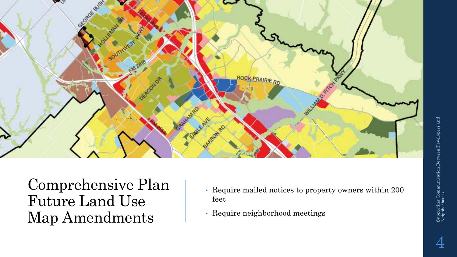

Comprehensive Plan Future Land Use Map Amendments

- Require mailed notices to property owners within 200 feet
- Require neighborhood meetings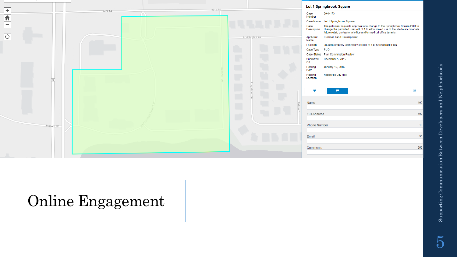|                                            |                                       |                                    | Lot 1 Springbrook Square                                                                                                                                                                                                             |                 |
|--------------------------------------------|---------------------------------------|------------------------------------|--------------------------------------------------------------------------------------------------------------------------------------------------------------------------------------------------------------------------------------|-----------------|
| $\! + \!\!\!\!$<br>$\overline{\textbf{h}}$ | 83rd St<br>83rd St<br>$\sqrt{\wedge}$ | Case<br>Number                     | 09-1-173                                                                                                                                                                                                                             |                 |
|                                            |                                       |                                    | Case Name Lot 1 Springbrook Square                                                                                                                                                                                                   |                 |
| $\overline{\phantom{m}}$                   |                                       |                                    | Case The petitioner requests approval of a change to the Springbrook Square PUD to<br>Description change the permitted uses of Lot 1 to allow mixed use of the site to accomodate<br>future retail, professional office and/or medic |                 |
| $\circ$                                    |                                       | Applicant<br>Boddington Ln<br>Name | <b>Bushnell Land Development</b>                                                                                                                                                                                                     |                 |
|                                            |                                       | Location                           | .56 acre property, commonly called Lot 1 of Springbrook PUD.                                                                                                                                                                         |                 |
|                                            |                                       | Case Type PUD                      |                                                                                                                                                                                                                                      |                 |
|                                            |                                       |                                    | Case Status Plan Commission Review                                                                                                                                                                                                   |                 |
|                                            |                                       | Submitted<br>On                    | December 5, 2015                                                                                                                                                                                                                     |                 |
|                                            | Œ                                     | L,<br>Hearing<br>Date              | January 19, 2016                                                                                                                                                                                                                     |                 |
| 59                                         |                                       | Hearing<br>Location                | Naperville City Hall                                                                                                                                                                                                                 |                 |
|                                            |                                       | $\Box$<br>÷                        | œ.                                                                                                                                                                                                                                   | $\mathbf{z}$    |
|                                            | $\Box$                                | Name<br>E                          |                                                                                                                                                                                                                                      | 100             |
|                                            | П                                     | $\circ$<br><b>Full Address</b>     |                                                                                                                                                                                                                                      | 100             |
| Macom Dr                                   |                                       | <b>Phone Number</b>                |                                                                                                                                                                                                                                      | 10 <sup>°</sup> |
|                                            |                                       | Email                              |                                                                                                                                                                                                                                      | 50              |
|                                            |                                       | Comments                           |                                                                                                                                                                                                                                      | 255             |
|                                            |                                       | which the company                  |                                                                                                                                                                                                                                      |                 |

#### Online Engagement